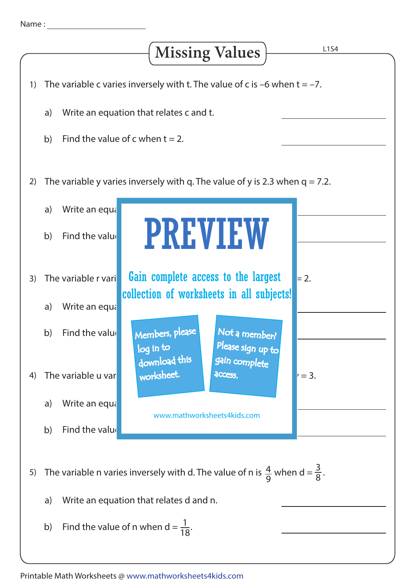